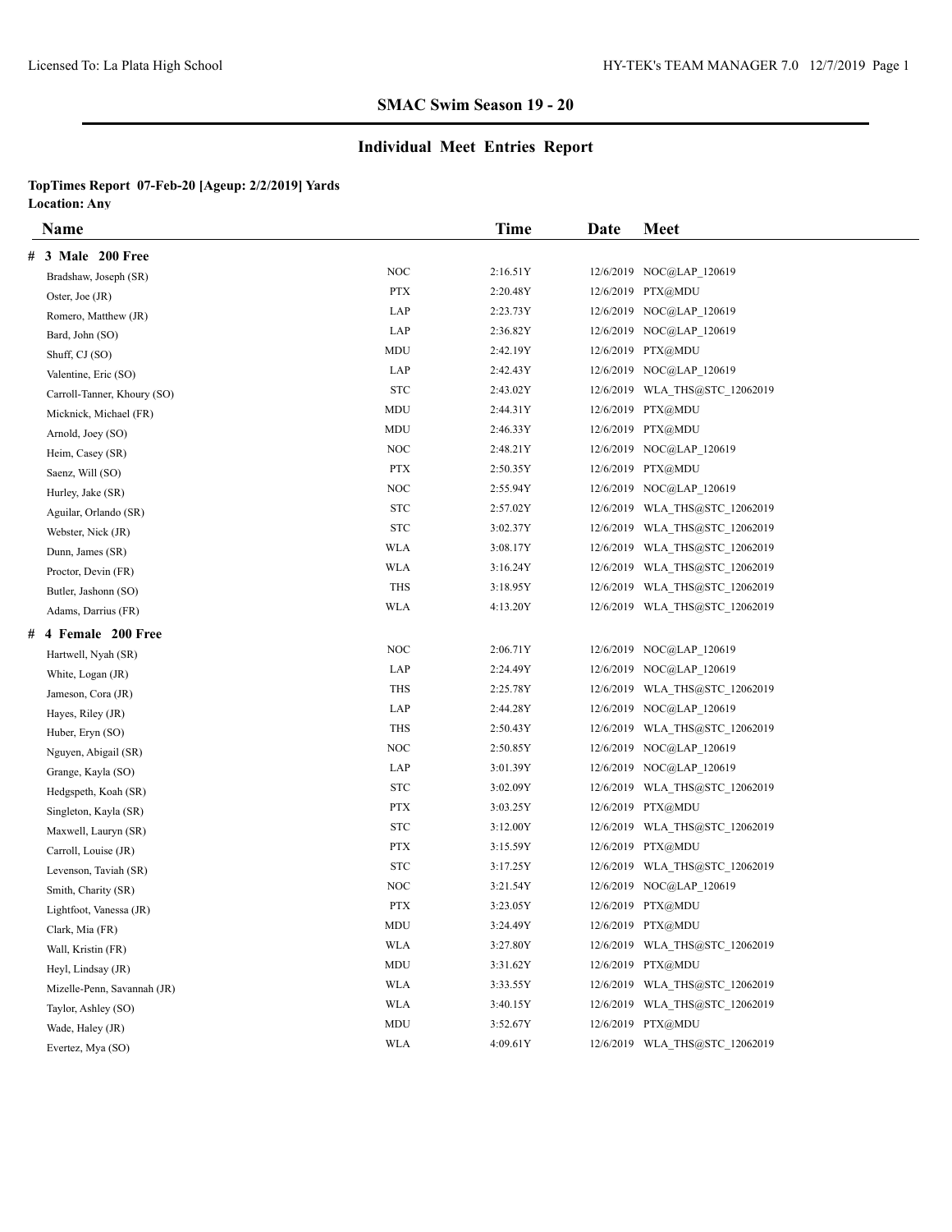# **Individual Meet Entries Report**

|   | <b>Name</b>                 |                                  | Time     | Date | <b>Meet</b>                    |  |
|---|-----------------------------|----------------------------------|----------|------|--------------------------------|--|
| # | 3 Male 200 Free             |                                  |          |      |                                |  |
|   | Bradshaw, Joseph (SR)       | <b>NOC</b>                       | 2:16.51Y |      | 12/6/2019 NOC@LAP 120619       |  |
|   | Oster, Joe (JR)             | <b>PTX</b>                       | 2:20.48Y |      | 12/6/2019 PTX@MDU              |  |
|   | Romero, Matthew (JR)        | LAP                              | 2:23.73Y |      | 12/6/2019 NOC@LAP 120619       |  |
|   | Bard, John (SO)             | LAP                              | 2:36.82Y |      | 12/6/2019 NOC@LAP 120619       |  |
|   | Shuff, CJ (SO)              | MDU                              | 2:42.19Y |      | 12/6/2019 PTX@MDU              |  |
|   | Valentine, Eric (SO)        | LAP                              | 2:42.43Y |      | 12/6/2019 NOC@LAP 120619       |  |
|   | Carroll-Tanner, Khoury (SO) | <b>STC</b>                       | 2:43.02Y |      | 12/6/2019 WLA THS@STC 12062019 |  |
|   | Micknick, Michael (FR)      | MDU                              | 2:44.31Y |      | 12/6/2019 PTX@MDU              |  |
|   | Arnold, Joey (SO)           | MDU                              | 2:46.33Y |      | 12/6/2019 PTX@MDU              |  |
|   | Heim, Casey (SR)            | <b>NOC</b>                       | 2:48.21Y |      | 12/6/2019 NOC@LAP 120619       |  |
|   | Saenz, Will (SO)            | <b>PTX</b>                       | 2:50.35Y |      | 12/6/2019 PTX@MDU              |  |
|   | Hurley, Jake (SR)           | <b>NOC</b>                       | 2:55.94Y |      | 12/6/2019 NOC@LAP 120619       |  |
|   | Aguilar, Orlando (SR)       | <b>STC</b>                       | 2:57.02Y |      | 12/6/2019 WLA_THS@STC_12062019 |  |
|   | Webster, Nick (JR)          | <b>STC</b>                       | 3:02.37Y |      | 12/6/2019 WLA THS@STC 12062019 |  |
|   | Dunn, James (SR)            | WLA                              | 3:08.17Y |      | 12/6/2019 WLA THS@STC 12062019 |  |
|   | Proctor, Devin (FR)         | WLA                              | 3:16.24Y |      | 12/6/2019 WLA THS@STC 12062019 |  |
|   | Butler, Jashonn (SO)        | <b>THS</b>                       | 3:18.95Y |      | 12/6/2019 WLA THS@STC 12062019 |  |
|   | Adams, Darrius (FR)         | <b>WLA</b>                       | 4:13.20Y |      | 12/6/2019 WLA THS@STC 12062019 |  |
|   | # 4 Female 200 Free         |                                  |          |      |                                |  |
|   | Hartwell, Nyah (SR)         | <b>NOC</b>                       | 2:06.71Y |      | 12/6/2019 NOC@LAP 120619       |  |
|   | White, Logan (JR)           | LAP                              | 2:24.49Y |      | 12/6/2019 NOC@LAP 120619       |  |
|   | Jameson, Cora (JR)          | THS                              | 2:25.78Y |      | 12/6/2019 WLA THS@STC 12062019 |  |
|   | Hayes, Riley (JR)           | LAP                              | 2:44.28Y |      | 12/6/2019 NOC@LAP 120619       |  |
|   | Huber, Eryn (SO)            | <b>THS</b>                       | 2:50.43Y |      | 12/6/2019 WLA THS@STC 12062019 |  |
|   | Nguyen, Abigail (SR)        | <b>NOC</b>                       | 2:50.85Y |      | 12/6/2019 NOC@LAP_120619       |  |
|   | Grange, Kayla (SO)          | LAP                              | 3:01.39Y |      | 12/6/2019 NOC@LAP 120619       |  |
|   | Hedgspeth, Koah (SR)        | <b>STC</b>                       | 3:02.09Y |      | 12/6/2019 WLA_THS@STC_12062019 |  |
|   | Singleton, Kayla (SR)       | <b>PTX</b>                       | 3:03.25Y |      | 12/6/2019 PTX@MDU              |  |
|   | Maxwell, Lauryn (SR)        | <b>STC</b>                       | 3:12.00Y |      | 12/6/2019 WLA_THS@STC_12062019 |  |
|   | Carroll, Louise (JR)        | <b>PTX</b>                       | 3:15.59Y |      | 12/6/2019 PTX@MDU              |  |
|   | Levenson, Taviah (SR)       | <b>STC</b>                       | 3:17.25Y |      | 12/6/2019 WLA THS@STC 12062019 |  |
|   | Smith, Charity (SR)         | <b>NOC</b>                       | 3:21.54Y |      | 12/6/2019 NOC@LAP 120619       |  |
|   | Lightfoot, Vanessa (JR)     | <b>PTX</b>                       | 3:23.05Y |      | 12/6/2019 PTX@MDU              |  |
|   | Clark, Mia (FR)             | MDU                              | 3:24.49Y |      | 12/6/2019 PTX@MDU              |  |
|   | Wall, Kristin (FR)          | <b>WLA</b>                       | 3:27.80Y |      | 12/6/2019 WLA THS@STC 12062019 |  |
|   | Heyl, Lindsay (JR)          | $\mathbf{M}\mathbf{D}\mathbf{U}$ | 3:31.62Y |      | 12/6/2019 PTX@MDU              |  |
|   | Mizelle-Penn, Savannah (JR) | <b>WLA</b>                       | 3:33.55Y |      | 12/6/2019 WLA_THS@STC_12062019 |  |
|   | Taylor, Ashley (SO)         | <b>WLA</b>                       | 3:40.15Y |      | 12/6/2019 WLA THS@STC 12062019 |  |
|   | Wade, Haley (JR)            | MDU                              | 3:52.67Y |      | 12/6/2019 PTX@MDU              |  |
|   | Evertez, Mya (SO)           | WLA                              | 4:09.61Y |      | 12/6/2019 WLA THS@STC 12062019 |  |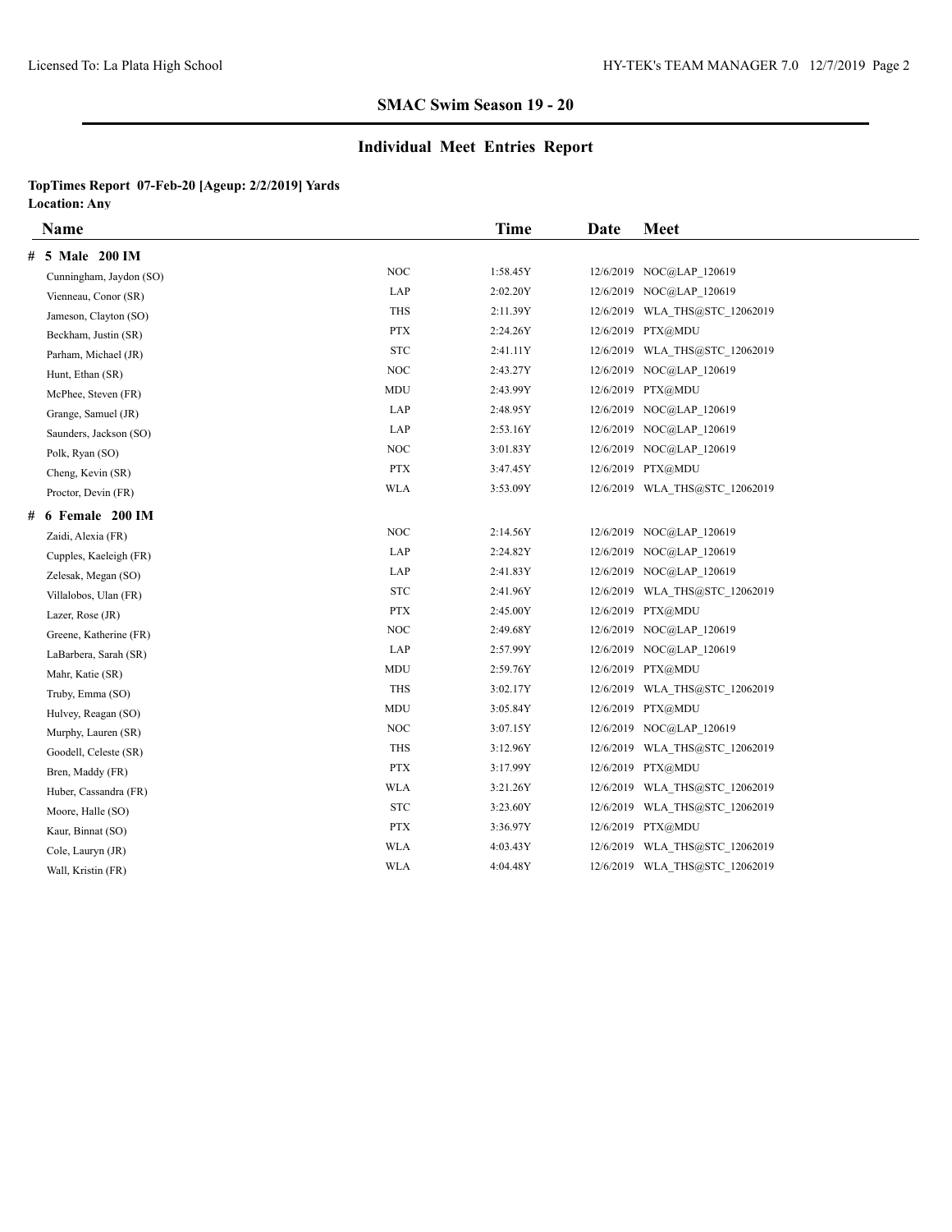### **Individual Meet Entries Report**

|   | Name                    |                                 | <b>Time</b> | Date | <b>Meet</b>                    |
|---|-------------------------|---------------------------------|-------------|------|--------------------------------|
| # | 5 Male 200 IM           |                                 |             |      |                                |
|   | Cunningham, Jaydon (SO) | <b>NOC</b>                      | 1:58.45Y    |      | 12/6/2019 NOC@LAP 120619       |
|   | Vienneau, Conor (SR)    | LAP                             | 2:02.20Y    |      | 12/6/2019 NOC@LAP 120619       |
|   | Jameson, Clayton (SO)   | <b>THS</b>                      | 2:11.39Y    |      | 12/6/2019 WLA THS@STC 12062019 |
|   | Beckham, Justin (SR)    | <b>PTX</b>                      | 2:24.26Y    |      | 12/6/2019 PTX@MDU              |
|   | Parham, Michael (JR)    | ${\hbox{\footnotesize\rm STC}}$ | 2:41.11Y    |      | 12/6/2019 WLA THS@STC 12062019 |
|   | Hunt, Ethan (SR)        | <b>NOC</b>                      | 2:43.27Y    |      | 12/6/2019 NOC@LAP 120619       |
|   | McPhee, Steven (FR)     | MDU                             | 2:43.99Y    |      | 12/6/2019 PTX@MDU              |
|   | Grange, Samuel (JR)     | LAP                             | 2:48.95Y    |      | 12/6/2019 NOC@LAP 120619       |
|   | Saunders, Jackson (SO)  | LAP                             | 2:53.16Y    |      | 12/6/2019 NOC@LAP 120619       |
|   | Polk, Ryan (SO)         | <b>NOC</b>                      | 3:01.83Y    |      | 12/6/2019 NOC@LAP 120619       |
|   | Cheng, Kevin (SR)       | <b>PTX</b>                      | 3:47.45Y    |      | 12/6/2019 PTX@MDU              |
|   | Proctor, Devin (FR)     | <b>WLA</b>                      | 3:53.09Y    |      | 12/6/2019 WLA THS@STC 12062019 |
| # | 6 Female 200 IM         |                                 |             |      |                                |
|   | Zaidi, Alexia (FR)      | <b>NOC</b>                      | 2:14.56Y    |      | 12/6/2019 NOC@LAP 120619       |
|   | Cupples, Kaeleigh (FR)  | LAP                             | 2:24.82Y    |      | 12/6/2019 NOC@LAP 120619       |
|   | Zelesak, Megan (SO)     | LAP                             | 2:41.83Y    |      | 12/6/2019 NOC@LAP 120619       |
|   | Villalobos, Ulan (FR)   | ${\hbox{\footnotesize\rm STC}}$ | 2:41.96Y    |      | 12/6/2019 WLA THS@STC 12062019 |
|   | Lazer, Rose (JR)        | <b>PTX</b>                      | 2:45.00Y    |      | 12/6/2019 PTX@MDU              |
|   | Greene, Katherine (FR)  | <b>NOC</b>                      | 2:49.68Y    |      | 12/6/2019 NOC@LAP 120619       |
|   | LaBarbera, Sarah (SR)   | LAP                             | 2:57.99Y    |      | 12/6/2019 NOC@LAP 120619       |
|   | Mahr, Katie (SR)        | <b>MDU</b>                      | 2:59.76Y    |      | 12/6/2019 PTX@MDU              |
|   | Truby, Emma (SO)        | <b>THS</b>                      | 3:02.17Y    |      | 12/6/2019 WLA THS@STC 12062019 |
|   | Hulvey, Reagan (SO)     | MDU                             | 3:05.84Y    |      | 12/6/2019 PTX@MDU              |
|   | Murphy, Lauren (SR)     | <b>NOC</b>                      | 3:07.15Y    |      | 12/6/2019 NOC@LAP 120619       |
|   | Goodell, Celeste (SR)   | <b>THS</b>                      | 3:12.96Y    |      | 12/6/2019 WLA THS@STC 12062019 |
|   | Bren, Maddy (FR)        | <b>PTX</b>                      | 3:17.99Y    |      | 12/6/2019 PTX@MDU              |
|   | Huber, Cassandra (FR)   | <b>WLA</b>                      | 3:21.26Y    |      | 12/6/2019 WLA THS@STC 12062019 |
|   | Moore, Halle (SO)       | <b>STC</b>                      | 3:23.60Y    |      | 12/6/2019 WLA THS@STC 12062019 |
|   | Kaur, Binnat (SO)       | <b>PTX</b>                      | 3:36.97Y    |      | 12/6/2019 PTX@MDU              |
|   | Cole, Lauryn (JR)       | <b>WLA</b>                      | 4:03.43Y    |      | 12/6/2019 WLA THS@STC 12062019 |
|   | Wall, Kristin (FR)      | <b>WLA</b>                      | 4:04.48Y    |      | 12/6/2019 WLA THS@STC 12062019 |
|   |                         |                                 |             |      |                                |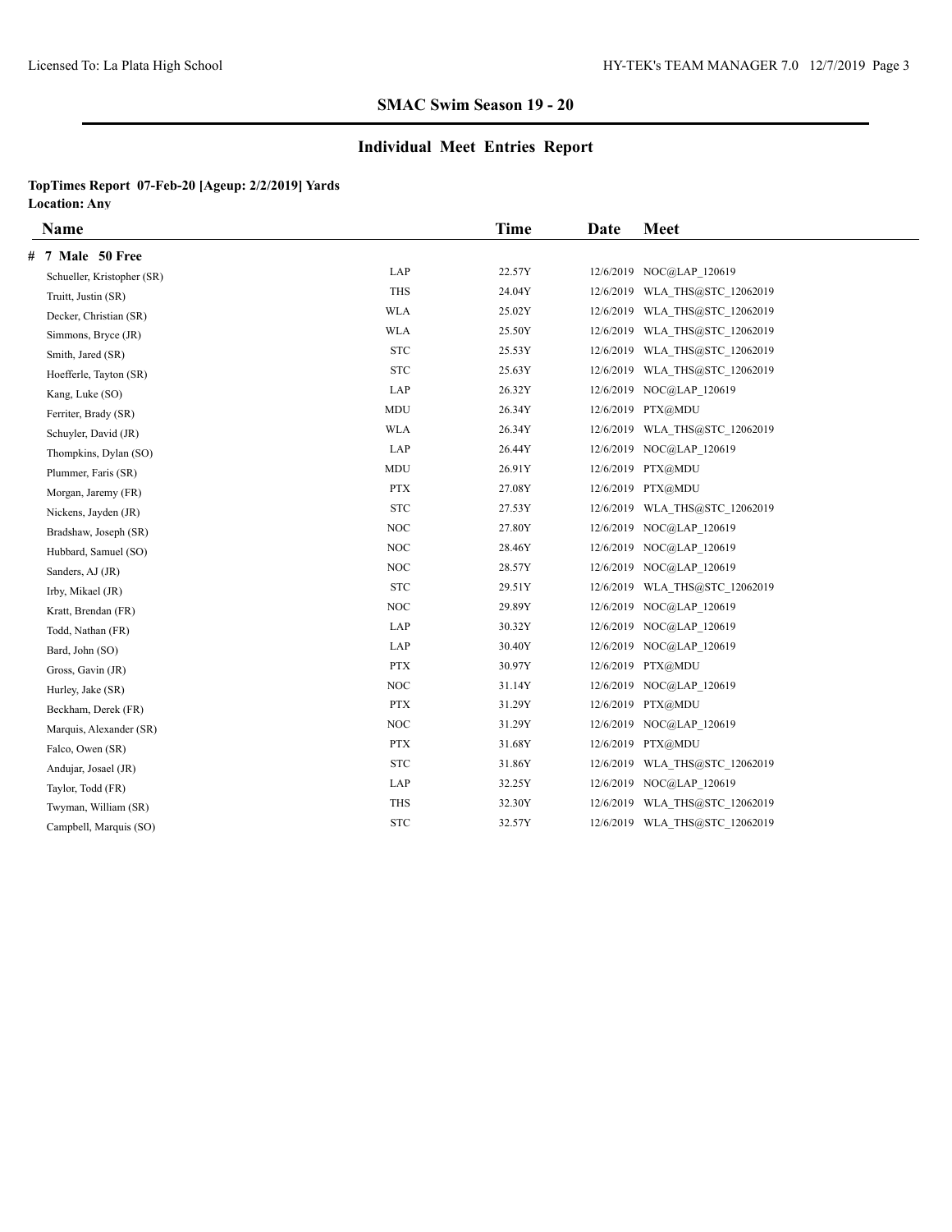### **Individual Meet Entries Report**

|                                 | Time   | Date      | <b>Meet</b>                    |
|---------------------------------|--------|-----------|--------------------------------|
|                                 |        |           |                                |
| LAP                             | 22.57Y |           | 12/6/2019 NOC@LAP 120619       |
| <b>THS</b>                      | 24.04Y | 12/6/2019 | WLA THS@STC 12062019           |
| <b>WLA</b>                      | 25.02Y |           | 12/6/2019 WLA THS@STC 12062019 |
| <b>WLA</b>                      | 25.50Y |           | 12/6/2019 WLA THS@STC 12062019 |
| <b>STC</b>                      | 25.53Y |           | 12/6/2019 WLA THS@STC 12062019 |
| ${\hbox{\footnotesize\rm STC}}$ | 25.63Y |           | 12/6/2019 WLA THS@STC 12062019 |
| LAP                             | 26.32Y |           | 12/6/2019 NOC@LAP 120619       |
| <b>MDU</b>                      | 26.34Y |           | 12/6/2019 PTX@MDU              |
| <b>WLA</b>                      | 26.34Y |           | 12/6/2019 WLA THS@STC 12062019 |
| LAP                             | 26.44Y |           | 12/6/2019 NOC@LAP 120619       |
| MDU                             | 26.91Y |           | 12/6/2019 PTX@MDU              |
| <b>PTX</b>                      | 27.08Y |           | 12/6/2019 PTX@MDU              |
| ${\hbox{\footnotesize\rm STC}}$ | 27.53Y |           | 12/6/2019 WLA THS@STC 12062019 |
| <b>NOC</b>                      | 27.80Y |           | 12/6/2019 NOC@LAP 120619       |
| NOC                             | 28.46Y |           | 12/6/2019 NOC@LAP 120619       |
| $NOC$                           | 28.57Y |           | 12/6/2019 NOC@LAP 120619       |
| <b>STC</b>                      | 29.51Y |           | 12/6/2019 WLA THS@STC 12062019 |
| NOC                             | 29.89Y |           | 12/6/2019 NOC@LAP 120619       |
| LAP                             | 30.32Y |           | 12/6/2019 NOC@LAP 120619       |
| LAP                             | 30.40Y |           | 12/6/2019 NOC@LAP 120619       |
| <b>PTX</b>                      | 30.97Y |           | 12/6/2019 PTX@MDU              |
| $\rm NOC$                       | 31.14Y |           | 12/6/2019 NOC@LAP 120619       |
| <b>PTX</b>                      | 31.29Y |           | 12/6/2019 PTX@MDU              |
| <b>NOC</b>                      | 31.29Y |           | 12/6/2019 NOC@LAP 120619       |
| <b>PTX</b>                      | 31.68Y |           | 12/6/2019 PTX@MDU              |
| ${\hbox{\footnotesize\rm STC}}$ | 31.86Y |           | 12/6/2019 WLA THS@STC 12062019 |
| LAP                             | 32.25Y |           | 12/6/2019 NOC@LAP 120619       |
| <b>THS</b>                      | 32.30Y |           | 12/6/2019 WLA THS@STC 12062019 |
| ${\hbox{\footnotesize\rm STC}}$ | 32.57Y |           | 12/6/2019 WLA THS@STC 12062019 |
|                                 |        |           |                                |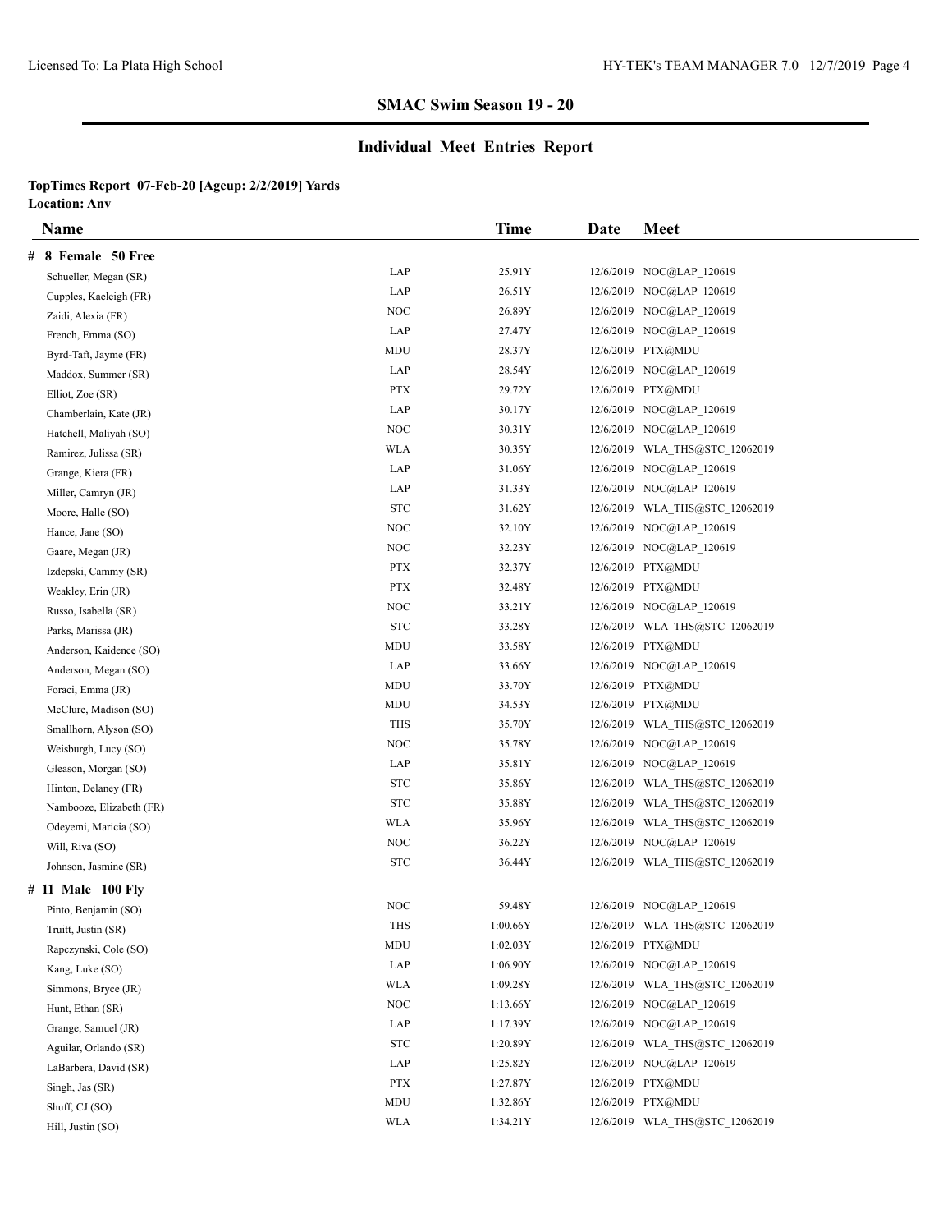# **Individual Meet Entries Report**

|   | <b>Name</b>              |            | Time     | Date | <b>Meet</b>                    |
|---|--------------------------|------------|----------|------|--------------------------------|
| # | 8 Female 50 Free         |            |          |      |                                |
|   | Schueller, Megan (SR)    | LAP        | 25.91Y   |      | 12/6/2019 NOC@LAP 120619       |
|   | Cupples, Kaeleigh (FR)   | LAP        | 26.51Y   |      | 12/6/2019 NOC@LAP 120619       |
|   | Zaidi, Alexia (FR)       | NOC        | 26.89Y   |      | 12/6/2019 NOC@LAP 120619       |
|   | French, Emma (SO)        | LAP        | 27.47Y   |      | 12/6/2019 NOC@LAP 120619       |
|   | Byrd-Taft, Jayme (FR)    | MDU        | 28.37Y   |      | 12/6/2019 PTX@MDU              |
|   | Maddox, Summer (SR)      | LAP        | 28.54Y   |      | 12/6/2019 NOC@LAP 120619       |
|   | Elliot, Zoe (SR)         | <b>PTX</b> | 29.72Y   |      | 12/6/2019 PTX@MDU              |
|   | Chamberlain, Kate (JR)   | LAP        | 30.17Y   |      | 12/6/2019 NOC@LAP 120619       |
|   | Hatchell, Maliyah (SO)   | <b>NOC</b> | 30.31Y   |      | 12/6/2019 NOC@LAP 120619       |
|   | Ramirez, Julissa (SR)    | <b>WLA</b> | 30.35Y   |      | 12/6/2019 WLA THS@STC 12062019 |
|   | Grange, Kiera (FR)       | LAP        | 31.06Y   |      | 12/6/2019 NOC@LAP 120619       |
|   | Miller, Camryn (JR)      | LAP        | 31.33Y   |      | 12/6/2019 NOC@LAP 120619       |
|   | Moore, Halle (SO)        | <b>STC</b> | 31.62Y   |      | 12/6/2019 WLA_THS@STC_12062019 |
|   | Hance, Jane (SO)         | NOC        | 32.10Y   |      | 12/6/2019 NOC@LAP 120619       |
|   | Gaare, Megan (JR)        | NOC        | 32.23Y   |      | 12/6/2019 NOC@LAP 120619       |
|   | Izdepski, Cammy (SR)     | <b>PTX</b> | 32.37Y   |      | 12/6/2019 PTX@MDU              |
|   | Weakley, Erin (JR)       | <b>PTX</b> | 32.48Y   |      | 12/6/2019 PTX@MDU              |
|   | Russo, Isabella (SR)     | NOC        | 33.21Y   |      | 12/6/2019 NOC@LAP_120619       |
|   | Parks, Marissa (JR)      | <b>STC</b> | 33.28Y   |      | 12/6/2019 WLA THS@STC 12062019 |
|   | Anderson, Kaidence (SO)  | MDU        | 33.58Y   |      | 12/6/2019 PTX@MDU              |
|   | Anderson, Megan (SO)     | LAP        | 33.66Y   |      | 12/6/2019 NOC@LAP 120619       |
|   | Foraci, Emma (JR)        | MDU        | 33.70Y   |      | 12/6/2019 PTX@MDU              |
|   | McClure, Madison (SO)    | MDU        | 34.53Y   |      | 12/6/2019 PTX@MDU              |
|   | Smallhorn, Alyson (SO)   | <b>THS</b> | 35.70Y   |      | 12/6/2019 WLA THS@STC 12062019 |
|   | Weisburgh, Lucy (SO)     | NOC        | 35.78Y   |      | 12/6/2019 NOC@LAP 120619       |
|   | Gleason, Morgan (SO)     | LAP        | 35.81Y   |      | 12/6/2019 NOC@LAP 120619       |
|   | Hinton, Delaney (FR)     | <b>STC</b> | 35.86Y   |      | 12/6/2019 WLA_THS@STC_12062019 |
|   | Nambooze, Elizabeth (FR) | <b>STC</b> | 35.88Y   |      | 12/6/2019 WLA_THS@STC_12062019 |
|   | Odeyemi, Maricia (SO)    | <b>WLA</b> | 35.96Y   |      | 12/6/2019 WLA_THS@STC_12062019 |
|   | Will, Riva (SO)          | NOC        | 36.22Y   |      | 12/6/2019 NOC@LAP 120619       |
|   | Johnson, Jasmine (SR)    | <b>STC</b> | 36.44Y   |      | 12/6/2019 WLA THS@STC 12062019 |
|   | # 11 Male 100 Fly        |            |          |      |                                |
|   | Pinto, Benjamin (SO)     | <b>NOC</b> | 59.48Y   |      | 12/6/2019 NOC@LAP 120619       |
|   | Truitt, Justin (SR)      | THS        | 1:00.66Y |      | 12/6/2019 WLA_THS@STC_12062019 |
|   | Rapczynski, Cole (SO)    | MDU        | 1:02.03Y |      | 12/6/2019 PTX@MDU              |
|   | Kang, Luke (SO)          | LAP        | 1:06.90Y |      | 12/6/2019 NOC@LAP 120619       |
|   | Simmons, Bryce (JR)      | <b>WLA</b> | 1:09.28Y |      | 12/6/2019 WLA_THS@STC_12062019 |
|   | Hunt, Ethan (SR)         | NOC        | 1:13.66Y |      | 12/6/2019 NOC@LAP 120619       |
|   | Grange, Samuel (JR)      | LAP        | 1:17.39Y |      | 12/6/2019 NOC@LAP 120619       |
|   | Aguilar, Orlando (SR)    | STC        | 1:20.89Y |      | 12/6/2019 WLA_THS@STC_12062019 |
|   | LaBarbera, David (SR)    | LAP        | 1:25.82Y |      | 12/6/2019 NOC@LAP 120619       |
|   | Singh, Jas (SR)          | PTX        | 1:27.87Y |      | 12/6/2019 PTX@MDU              |
|   | Shuff, CJ (SO)           | MDU        | 1:32.86Y |      | 12/6/2019 PTX@MDU              |
|   | Hill, Justin (SO)        | <b>WLA</b> | 1:34.21Y |      | 12/6/2019 WLA THS@STC 12062019 |
|   |                          |            |          |      |                                |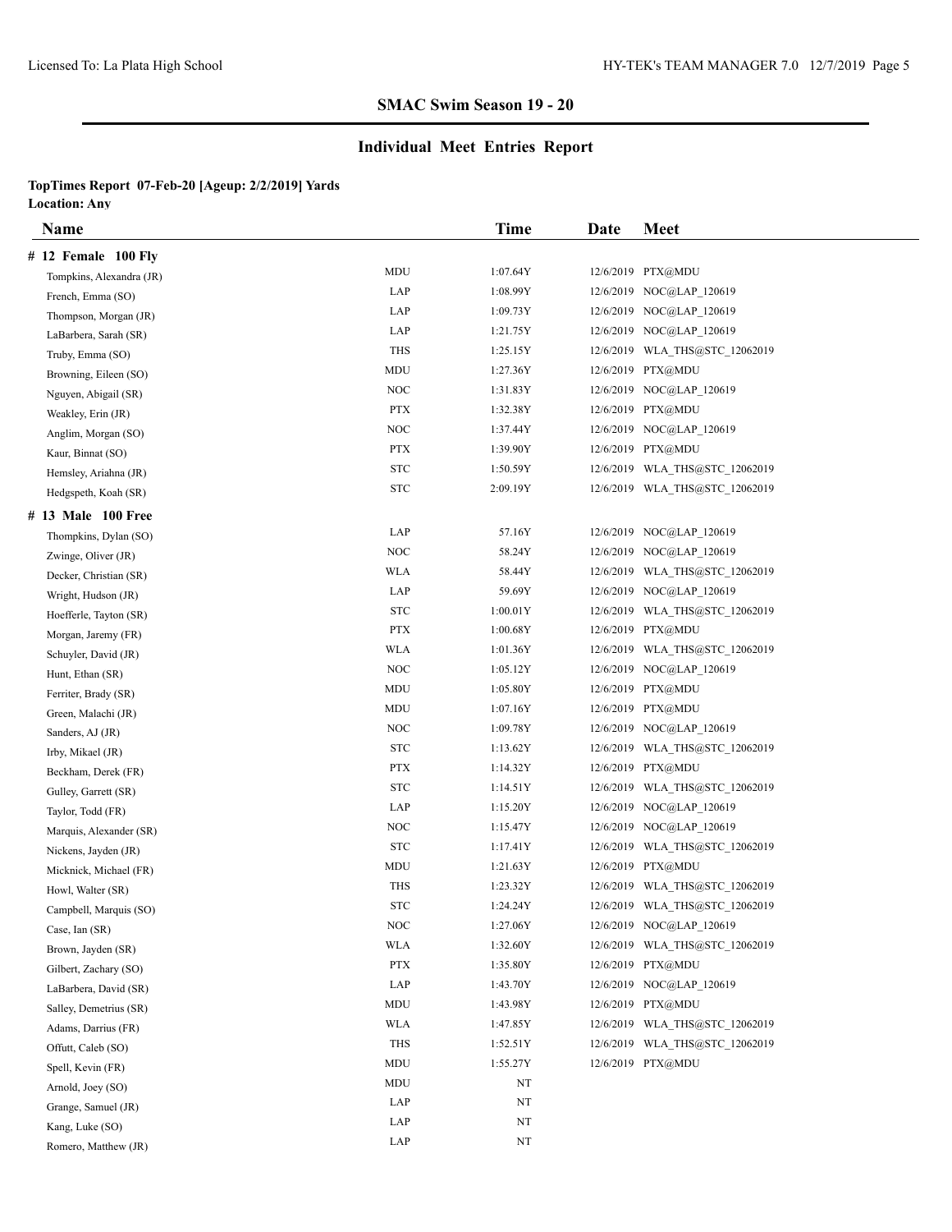## **Individual Meet Entries Report**

| Name                     |                                  | Time        | Date | <b>Meet</b>                    |
|--------------------------|----------------------------------|-------------|------|--------------------------------|
| # 12 Female 100 Fly      |                                  |             |      |                                |
| Tompkins, Alexandra (JR) | MDU                              | 1:07.64Y    |      | 12/6/2019 PTX@MDU              |
| French, Emma (SO)        | LAP                              | 1:08.99Y    |      | 12/6/2019 NOC@LAP_120619       |
| Thompson, Morgan (JR)    | LAP                              | 1:09.73Y    |      | 12/6/2019 NOC@LAP 120619       |
| LaBarbera, Sarah (SR)    | LAP                              | 1:21.75Y    |      | 12/6/2019 NOC@LAP 120619       |
| Truby, Emma (SO)         | THS                              | 1:25.15Y    |      | 12/6/2019 WLA THS@STC 12062019 |
| Browning, Eileen (SO)    | MDU                              | 1:27.36Y    |      | 12/6/2019 PTX@MDU              |
| Nguyen, Abigail (SR)     | <b>NOC</b>                       | 1:31.83Y    |      | 12/6/2019 NOC@LAP 120619       |
| Weakley, Erin (JR)       | <b>PTX</b>                       | 1:32.38Y    |      | 12/6/2019 PTX@MDU              |
| Anglim, Morgan (SO)      | <b>NOC</b>                       | 1:37.44Y    |      | 12/6/2019 NOC@LAP 120619       |
| Kaur, Binnat (SO)        | <b>PTX</b>                       | 1:39.90Y    |      | 12/6/2019 PTX@MDU              |
| Hemsley, Ariahna (JR)    | <b>STC</b>                       | 1:50.59Y    |      | 12/6/2019 WLA_THS@STC_12062019 |
| Hedgspeth, Koah (SR)     | <b>STC</b>                       | 2:09.19Y    |      | 12/6/2019 WLA_THS@STC_12062019 |
| # 13 Male 100 Free       |                                  |             |      |                                |
| Thompkins, Dylan (SO)    | LAP                              | 57.16Y      |      | 12/6/2019 NOC@LAP_120619       |
| Zwinge, Oliver (JR)      | <b>NOC</b>                       | 58.24Y      |      | 12/6/2019 NOC@LAP 120619       |
| Decker, Christian (SR)   | WLA                              | 58.44Y      |      | 12/6/2019 WLA THS@STC 12062019 |
| Wright, Hudson (JR)      | LAP                              | 59.69Y      |      | 12/6/2019 NOC@LAP_120619       |
| Hoefferle, Tayton (SR)   | <b>STC</b>                       | 1:00.01Y    |      | 12/6/2019 WLA_THS@STC_12062019 |
| Morgan, Jaremy (FR)      | <b>PTX</b>                       | 1:00.68Y    |      | 12/6/2019 PTX@MDU              |
| Schuyler, David (JR)     | WLA                              | 1:01.36Y    |      | 12/6/2019 WLA THS@STC 12062019 |
| Hunt, Ethan (SR)         | NOC                              | 1:05.12Y    |      | 12/6/2019 NOC@LAP 120619       |
| Ferriter, Brady (SR)     | <b>MDU</b>                       | 1:05.80Y    |      | 12/6/2019 PTX@MDU              |
| Green, Malachi (JR)      | MDU                              | 1:07.16Y    |      | 12/6/2019 PTX@MDU              |
| Sanders, AJ (JR)         | <b>NOC</b>                       | 1:09.78Y    |      | 12/6/2019 NOC@LAP 120619       |
| Irby, Mikael (JR)        | <b>STC</b>                       | 1:13.62Y    |      | 12/6/2019 WLA_THS@STC_12062019 |
| Beckham, Derek (FR)      | <b>PTX</b>                       | 1:14.32Y    |      | 12/6/2019 PTX@MDU              |
| Gulley, Garrett (SR)     | <b>STC</b>                       | 1:14.51Y    |      | 12/6/2019 WLA_THS@STC_12062019 |
| Taylor, Todd (FR)        | LAP                              | 1:15.20Y    |      | 12/6/2019 NOC@LAP 120619       |
| Marquis, Alexander (SR)  | NOC                              | 1:15.47Y    |      | 12/6/2019 NOC@LAP 120619       |
| Nickens, Jayden (JR)     | <b>STC</b>                       | 1:17.41Y    |      | 12/6/2019 WLA THS@STC 12062019 |
| Micknick, Michael (FR)   | <b>MDU</b>                       | 1:21.63Y    |      | 12/6/2019 PTX@MDU              |
| Howl, Walter (SR)        | THS                              | 1:23.32Y    |      | 12/6/2019 WLA_THS@STC_12062019 |
| Campbell, Marquis (SO)   | <b>STC</b>                       | 1:24.24Y    |      | 12/6/2019 WLA THS@STC 12062019 |
| Case, Ian (SR)           | $\rm NOC$                        | 1:27.06Y    |      | 12/6/2019 NOC@LAP 120619       |
| Brown, Jayden (SR)       | <b>WLA</b>                       | 1:32.60Y    |      | 12/6/2019 WLA THS@STC 12062019 |
| Gilbert, Zachary (SO)    | <b>PTX</b>                       | 1:35.80Y    |      | 12/6/2019 PTX@MDU              |
| LaBarbera, David (SR)    | LAP                              | 1:43.70Y    |      | 12/6/2019 NOC@LAP 120619       |
| Salley, Demetrius (SR)   | MDU                              | 1:43.98Y    |      | 12/6/2019 PTX@MDU              |
| Adams, Darrius (FR)      | WLA                              | 1:47.85Y    |      | 12/6/2019 WLA THS@STC 12062019 |
| Offutt, Caleb (SO)       | THS                              | 1:52.51Y    |      | 12/6/2019 WLA THS@STC 12062019 |
| Spell, Kevin (FR)        | $\rm MDU$                        | 1:55.27Y    |      | 12/6/2019 PTX@MDU              |
| Arnold, Joey (SO)        | $\mathbf{M}\mathbf{D}\mathbf{U}$ | NT          |      |                                |
| Grange, Samuel (JR)      | LAP                              | NT          |      |                                |
| Kang, Luke (SO)          | LAP                              | NT          |      |                                |
| Romero, Matthew (JR)     | LAP                              | $_{\rm NT}$ |      |                                |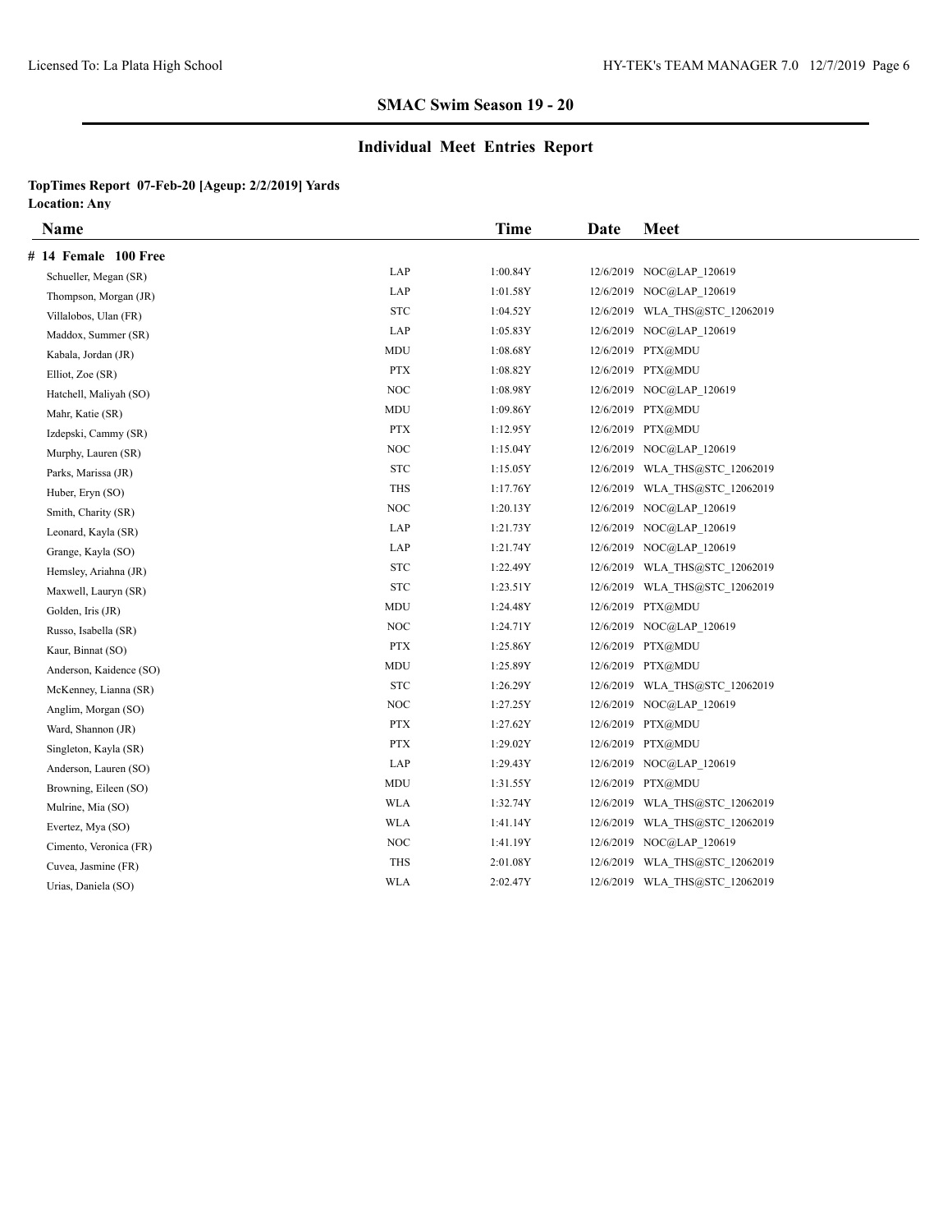## **Individual Meet Entries Report**

| Name                    |            | <b>Time</b> | Date | <b>Meet</b>                    |
|-------------------------|------------|-------------|------|--------------------------------|
| # 14 Female 100 Free    |            |             |      |                                |
| Schueller, Megan (SR)   | LAP        | 1:00.84Y    |      | 12/6/2019 NOC@LAP 120619       |
| Thompson, Morgan (JR)   | LAP        | 1:01.58Y    |      | 12/6/2019 NOC@LAP 120619       |
| Villalobos, Ulan (FR)   | <b>STC</b> | 1:04.52Y    |      | 12/6/2019 WLA THS@STC 12062019 |
| Maddox, Summer (SR)     | LAP        | 1:05.83Y    |      | 12/6/2019 NOC@LAP 120619       |
| Kabala, Jordan (JR)     | MDU        | 1:08.68Y    |      | 12/6/2019 PTX@MDU              |
| Elliot, Zoe (SR)        | <b>PTX</b> | 1:08.82Y    |      | 12/6/2019 PTX@MDU              |
| Hatchell, Maliyah (SO)  | NOC        | 1:08.98Y    |      | 12/6/2019 NOC@LAP 120619       |
| Mahr, Katie (SR)        | MDU        | 1:09.86Y    |      | 12/6/2019 PTX@MDU              |
| Izdepski, Cammy (SR)    | <b>PTX</b> | 1:12.95Y    |      | 12/6/2019 PTX@MDU              |
| Murphy, Lauren (SR)     | NOC        | 1:15.04Y    |      | 12/6/2019 NOC@LAP 120619       |
| Parks, Marissa (JR)     | <b>STC</b> | 1:15.05Y    |      | 12/6/2019 WLA THS@STC 12062019 |
| Huber, Eryn (SO)        | THS        | 1:17.76Y    |      | 12/6/2019 WLA THS@STC 12062019 |
| Smith, Charity (SR)     | <b>NOC</b> | 1:20.13Y    |      | 12/6/2019 NOC@LAP 120619       |
| Leonard, Kayla (SR)     | LAP        | 1:21.73Y    |      | 12/6/2019 NOC@LAP 120619       |
| Grange, Kayla (SO)      | LAP        | 1:21.74Y    |      | 12/6/2019 NOC@LAP 120619       |
| Hemsley, Ariahna (JR)   | <b>STC</b> | 1:22.49Y    |      | 12/6/2019 WLA THS@STC 12062019 |
| Maxwell, Lauryn (SR)    | <b>STC</b> | 1:23.51Y    |      | 12/6/2019 WLA THS@STC 12062019 |
| Golden, Iris (JR)       | MDU        | 1:24.48Y    |      | 12/6/2019 PTX@MDU              |
| Russo, Isabella (SR)    | NOC        | 1:24.71Y    |      | 12/6/2019 NOC@LAP 120619       |
| Kaur, Binnat (SO)       | <b>PTX</b> | 1:25.86Y    |      | 12/6/2019 PTX@MDU              |
| Anderson, Kaidence (SO) | <b>MDU</b> | 1:25.89Y    |      | 12/6/2019 PTX@MDU              |
| McKenney, Lianna (SR)   | <b>STC</b> | 1:26.29Y    |      | 12/6/2019 WLA THS@STC 12062019 |
| Anglim, Morgan (SO)     | NOC        | 1:27.25Y    |      | 12/6/2019 NOC@LAP 120619       |
| Ward, Shannon (JR)      | <b>PTX</b> | 1:27.62Y    |      | 12/6/2019 PTX@MDU              |
| Singleton, Kayla (SR)   | <b>PTX</b> | 1:29.02Y    |      | 12/6/2019 PTX@MDU              |
| Anderson, Lauren (SO)   | LAP        | 1:29.43Y    |      | 12/6/2019 NOC@LAP 120619       |
| Browning, Eileen (SO)   | <b>MDU</b> | 1:31.55Y    |      | 12/6/2019 PTX@MDU              |
| Mulrine, Mia (SO)       | <b>WLA</b> | 1:32.74Y    |      | 12/6/2019 WLA THS@STC 12062019 |
| Evertez, Mya (SO)       | <b>WLA</b> | 1:41.14Y    |      | 12/6/2019 WLA THS@STC 12062019 |
| Cimento, Veronica (FR)  | NOC        | 1:41.19Y    |      | 12/6/2019 NOC@LAP 120619       |
| Cuvea, Jasmine (FR)     | <b>THS</b> | 2:01.08Y    |      | 12/6/2019 WLA THS@STC 12062019 |
| Urias, Daniela (SO)     | <b>WLA</b> | 2:02.47Y    |      | 12/6/2019 WLA THS@STC 12062019 |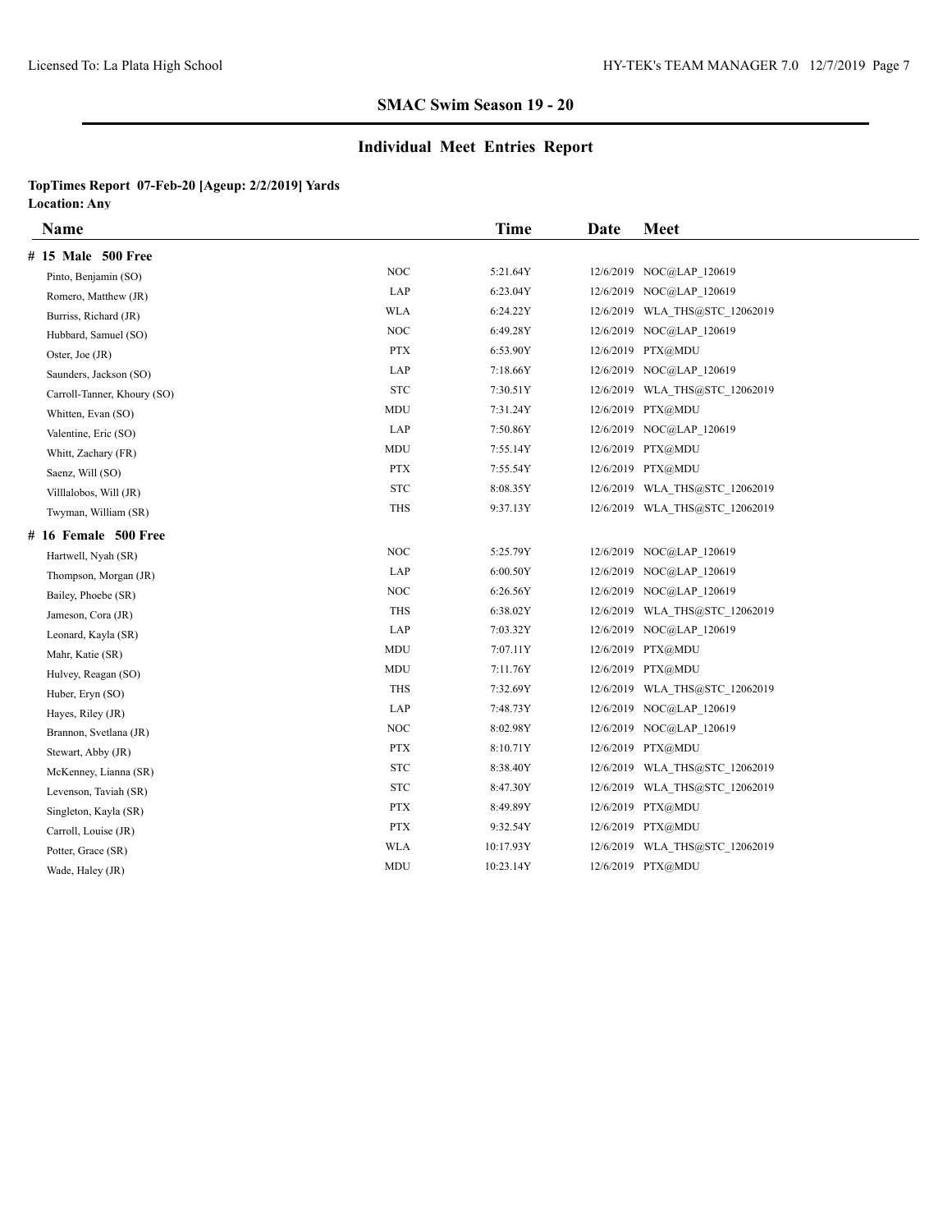### **Individual Meet Entries Report**

| Name                        |                                 | <b>Time</b> | Date | <b>Meet</b>                    |
|-----------------------------|---------------------------------|-------------|------|--------------------------------|
| # 15 Male 500 Free          |                                 |             |      |                                |
| Pinto, Benjamin (SO)        | <b>NOC</b>                      | 5:21.64Y    |      | 12/6/2019 NOC@LAP 120619       |
| Romero, Matthew (JR)        | LAP                             | 6:23.04Y    |      | 12/6/2019 NOC@LAP 120619       |
| Burriss, Richard (JR)       | <b>WLA</b>                      | 6:24.22Y    |      | 12/6/2019 WLA THS@STC 12062019 |
| Hubbard, Samuel (SO)        | <b>NOC</b>                      | 6:49.28Y    |      | 12/6/2019 NOC@LAP 120619       |
| Oster, Joe (JR)             | <b>PTX</b>                      | 6:53.90Y    |      | 12/6/2019 PTX@MDU              |
| Saunders, Jackson (SO)      | LAP                             | 7:18.66Y    |      | 12/6/2019 NOC@LAP 120619       |
| Carroll-Tanner, Khoury (SO) | <b>STC</b>                      | 7:30.51Y    |      | 12/6/2019 WLA THS@STC 12062019 |
| Whitten, Evan (SO)          | <b>MDU</b>                      | 7:31.24Y    |      | 12/6/2019 PTX@MDU              |
| Valentine, Eric (SO)        | LAP                             | 7:50.86Y    |      | 12/6/2019 NOC@LAP 120619       |
| Whitt, Zachary (FR)         | MDU                             | 7:55.14Y    |      | 12/6/2019 PTX@MDU              |
| Saenz, Will (SO)            | <b>PTX</b>                      | 7:55.54Y    |      | 12/6/2019 PTX@MDU              |
| Villlalobos, Will (JR)      | ${\hbox{\footnotesize\rm STC}}$ | 8:08.35Y    |      | 12/6/2019 WLA THS@STC 12062019 |
| Twyman, William (SR)        | THS                             | 9:37.13Y    |      | 12/6/2019 WLA THS@STC 12062019 |
| # 16 Female 500 Free        |                                 |             |      |                                |
| Hartwell, Nyah (SR)         | <b>NOC</b>                      | 5:25.79Y    |      | 12/6/2019 NOC@LAP 120619       |
| Thompson, Morgan (JR)       | LAP                             | 6:00.50Y    |      | 12/6/2019 NOC@LAP 120619       |
| Bailey, Phoebe (SR)         | NOC                             | 6:26.56Y    |      | 12/6/2019 NOC@LAP 120619       |
| Jameson, Cora (JR)          | <b>THS</b>                      | 6:38.02Y    |      | 12/6/2019 WLA THS@STC 12062019 |
| Leonard, Kayla (SR)         | LAP                             | 7:03.32Y    |      | 12/6/2019 NOC@LAP 120619       |
| Mahr, Katie (SR)            | MDU                             | 7:07.11Y    |      | 12/6/2019 PTX@MDU              |
| Hulvey, Reagan (SO)         | <b>MDU</b>                      | 7:11.76Y    |      | 12/6/2019 PTX@MDU              |
| Huber, Eryn (SO)            | <b>THS</b>                      | 7:32.69Y    |      | 12/6/2019 WLA THS@STC 12062019 |
| Hayes, Riley (JR)           | LAP                             | 7:48.73Y    |      | 12/6/2019 NOC@LAP_120619       |
| Brannon, Svetlana (JR)      | <b>NOC</b>                      | 8:02.98Y    |      | 12/6/2019 NOC@LAP 120619       |
| Stewart, Abby (JR)          | <b>PTX</b>                      | 8:10.71Y    |      | 12/6/2019 PTX@MDU              |
| McKenney, Lianna (SR)       | <b>STC</b>                      | 8:38.40Y    |      |                                |
| Levenson, Taviah (SR)       | <b>STC</b>                      | 8:47.30Y    |      | 12/6/2019 WLA THS@STC 12062019 |
| Singleton, Kayla (SR)       | <b>PTX</b>                      | 8:49.89Y    |      | 12/6/2019 PTX@MDU              |
| Carroll, Louise (JR)        | <b>PTX</b>                      | 9:32.54Y    |      | 12/6/2019 PTX@MDU              |
| Potter, Grace (SR)          | <b>WLA</b>                      | 10:17.93Y   |      | 12/6/2019 WLA THS@STC 12062019 |
| Wade, Haley (JR)            | MDU                             | 10:23.14Y   |      | 12/6/2019 PTX@MDU              |
|                             |                                 |             |      |                                |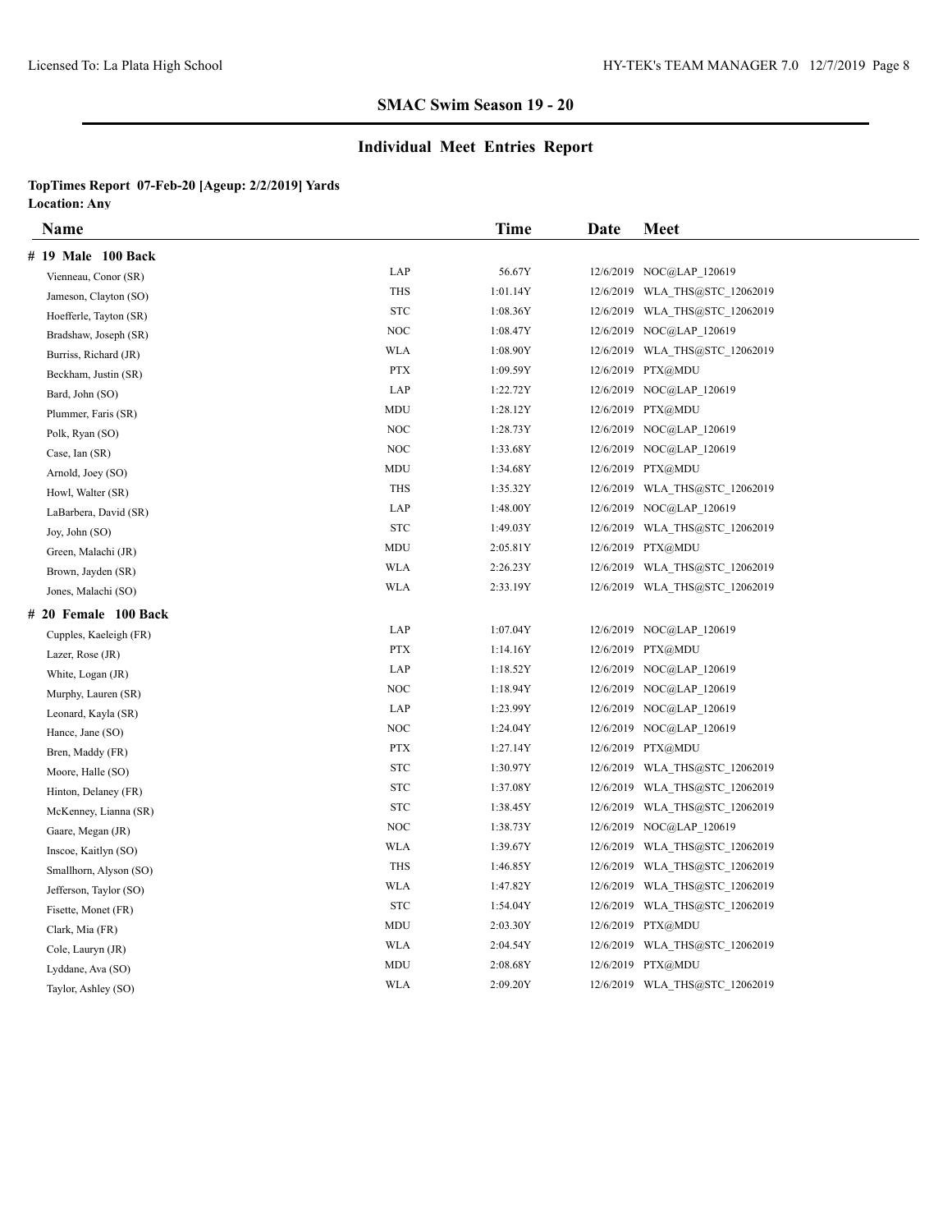### **Individual Meet Entries Report**

| Name                   |                                 | <b>Time</b> | Date | <b>Meet</b>                    |
|------------------------|---------------------------------|-------------|------|--------------------------------|
| # 19 Male 100 Back     |                                 |             |      |                                |
| Vienneau, Conor (SR)   | LAP                             | 56.67Y      |      | 12/6/2019 NOC@LAP 120619       |
| Jameson, Clayton (SO)  | <b>THS</b>                      | 1:01.14Y    |      | 12/6/2019 WLA THS@STC 12062019 |
| Hoefferle, Tayton (SR) | ${\hbox{\footnotesize\rm STC}}$ | 1:08.36Y    |      | 12/6/2019 WLA THS@STC 12062019 |
| Bradshaw, Joseph (SR)  | <b>NOC</b>                      | 1:08.47Y    |      | 12/6/2019 NOC@LAP_120619       |
| Burriss, Richard (JR)  | <b>WLA</b>                      | 1:08.90Y    |      | 12/6/2019 WLA THS@STC 12062019 |
| Beckham, Justin (SR)   | <b>PTX</b>                      | 1:09.59Y    |      | 12/6/2019 PTX@MDU              |
| Bard, John (SO)        | LAP                             | 1:22.72Y    |      | 12/6/2019 NOC@LAP 120619       |
| Plummer, Faris (SR)    | MDU                             | 1:28.12Y    |      | 12/6/2019 PTX@MDU              |
| Polk, Ryan (SO)        | <b>NOC</b>                      | 1:28.73Y    |      | 12/6/2019 NOC@LAP_120619       |
| Case, Ian (SR)         | <b>NOC</b>                      | 1:33.68Y    |      | 12/6/2019 NOC@LAP 120619       |
| Arnold, Joey (SO)      | MDU                             | 1:34.68Y    |      | 12/6/2019 PTX@MDU              |
| Howl, Walter (SR)      | THS                             | 1:35.32Y    |      | 12/6/2019 WLA THS@STC 12062019 |
| LaBarbera, David (SR)  | LAP                             | 1:48.00Y    |      | 12/6/2019 NOC@LAP 120619       |
| Joy, John (SO)         | <b>STC</b>                      | 1:49.03Y    |      | 12/6/2019 WLA_THS@STC_12062019 |
| Green, Malachi (JR)    | MDU                             | 2:05.81Y    |      | 12/6/2019 PTX@MDU              |
| Brown, Jayden (SR)     | <b>WLA</b>                      | 2:26.23Y    |      | 12/6/2019 WLA THS@STC 12062019 |
| Jones, Malachi (SO)    | WLA                             | 2:33.19Y    |      | 12/6/2019 WLA_THS@STC_12062019 |
| # 20 Female 100 Back   |                                 |             |      |                                |
| Cupples, Kaeleigh (FR) | LAP                             | 1:07.04Y    |      | 12/6/2019 NOC@LAP_120619       |
| Lazer, Rose (JR)       | <b>PTX</b>                      | 1:14.16Y    |      | 12/6/2019 PTX@MDU              |
| White, Logan (JR)      | LAP                             | 1:18.52Y    |      | 12/6/2019 NOC@LAP 120619       |
| Murphy, Lauren (SR)    | $\rm NOC$                       | 1:18.94Y    |      | 12/6/2019 NOC@LAP 120619       |
| Leonard, Kayla (SR)    | LAP                             | 1:23.99Y    |      | 12/6/2019 NOC@LAP 120619       |
| Hance, Jane (SO)       | NOC                             | 1:24.04Y    |      | 12/6/2019 NOC@LAP 120619       |
| Bren, Maddy (FR)       | <b>PTX</b>                      | 1:27.14Y    |      | 12/6/2019 PTX@MDU              |
| Moore, Halle (SO)      | <b>STC</b>                      | 1:30.97Y    |      | 12/6/2019 WLA THS@STC 12062019 |
| Hinton, Delaney (FR)   | <b>STC</b>                      | 1:37.08Y    |      | 12/6/2019 WLA_THS@STC_12062019 |
| McKenney, Lianna (SR)  | <b>STC</b>                      | 1:38.45Y    |      | 12/6/2019 WLA_THS@STC_12062019 |
| Gaare, Megan (JR)      | <b>NOC</b>                      | 1:38.73Y    |      | 12/6/2019 NOC@LAP_120619       |
| Inscoe, Kaitlyn (SO)   | <b>WLA</b>                      | 1:39.67Y    |      | 12/6/2019 WLA THS@STC 12062019 |
| Smallhorn, Alyson (SO) | <b>THS</b>                      | 1:46.85Y    |      | 12/6/2019 WLA THS@STC 12062019 |
| Jefferson, Taylor (SO) | <b>WLA</b>                      | 1:47.82Y    |      | 12/6/2019 WLA_THS@STC_12062019 |
| Fisette, Monet (FR)    | <b>STC</b>                      | 1:54.04Y    |      | 12/6/2019 WLA_THS@STC_12062019 |
| Clark, Mia (FR)        | MDU                             | 2:03.30Y    |      | 12/6/2019 PTX@MDU              |
| Cole, Lauryn (JR)      | <b>WLA</b>                      | 2:04.54Y    |      | 12/6/2019 WLA THS@STC 12062019 |
| Lyddane, Ava (SO)      | MDU                             | 2:08.68Y    |      | 12/6/2019 PTX@MDU              |
| Taylor, Ashley (SO)    | <b>WLA</b>                      | 2:09.20Y    |      | 12/6/2019 WLA_THS@STC_12062019 |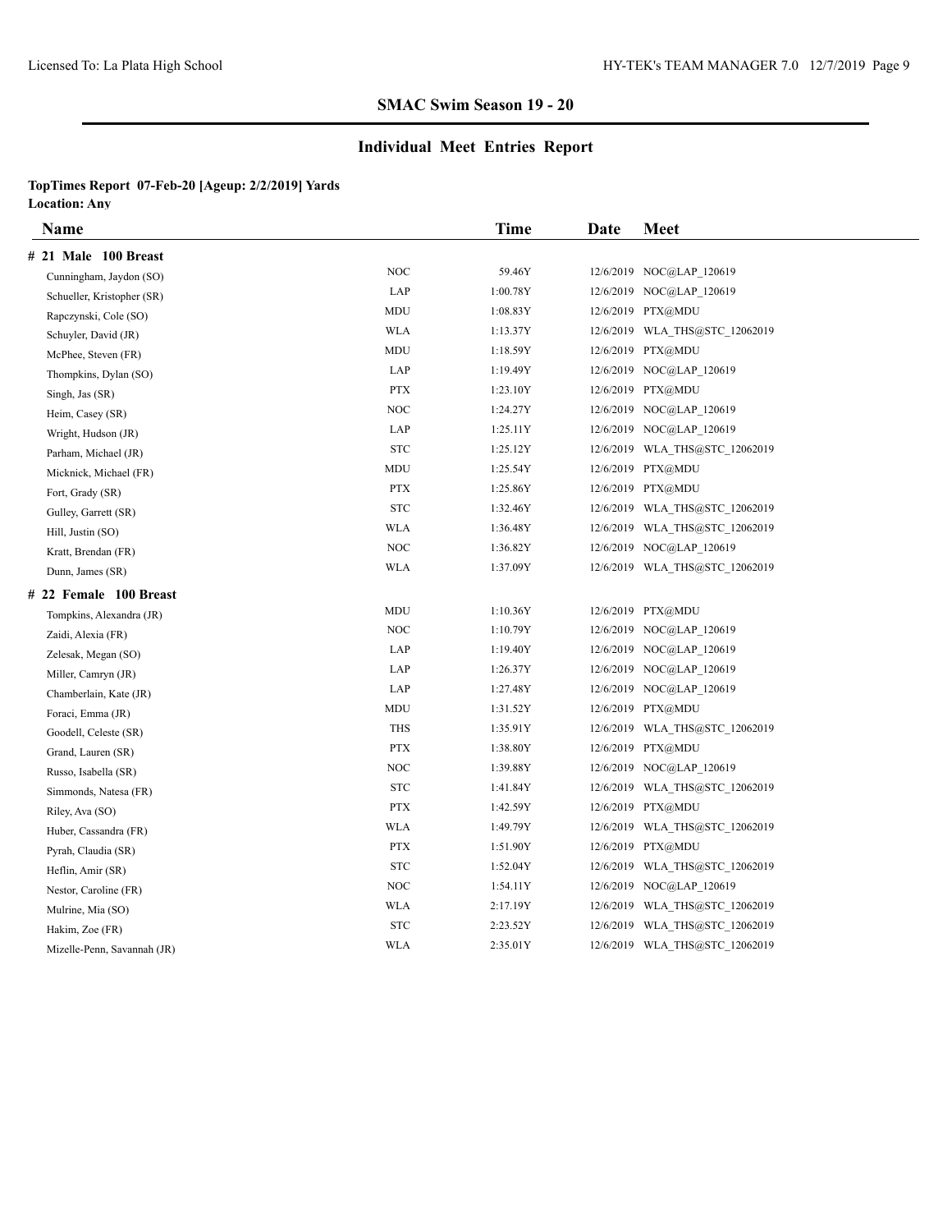### **Individual Meet Entries Report**

| Name                        |                                 | Time     | Date | <b>Meet</b>                    |
|-----------------------------|---------------------------------|----------|------|--------------------------------|
| # 21 Male 100 Breast        |                                 |          |      |                                |
| Cunningham, Jaydon (SO)     | <b>NOC</b>                      | 59.46Y   |      | 12/6/2019 NOC@LAP 120619       |
| Schueller, Kristopher (SR)  | LAP                             | 1:00.78Y |      | 12/6/2019 NOC@LAP 120619       |
| Rapczynski, Cole (SO)       | <b>MDU</b>                      | 1:08.83Y |      | 12/6/2019 PTX@MDU              |
| Schuyler, David (JR)        | <b>WLA</b>                      | 1:13.37Y |      | 12/6/2019 WLA_THS@STC_12062019 |
| McPhee, Steven (FR)         | <b>MDU</b>                      | 1:18.59Y |      | 12/6/2019 PTX@MDU              |
| Thompkins, Dylan (SO)       | LAP                             | 1:19.49Y |      | 12/6/2019 NOC@LAP 120619       |
| Singh, Jas (SR)             | <b>PTX</b>                      | 1:23.10Y |      | 12/6/2019 PTX@MDU              |
| Heim, Casey (SR)            | <b>NOC</b>                      | 1:24.27Y |      | 12/6/2019 NOC@LAP 120619       |
| Wright, Hudson (JR)         | LAP                             | 1:25.11Y |      | 12/6/2019 NOC@LAP 120619       |
| Parham, Michael (JR)        | <b>STC</b>                      | 1:25.12Y |      | 12/6/2019 WLA THS@STC 12062019 |
| Micknick, Michael (FR)      | MDU                             | 1:25.54Y |      | 12/6/2019 PTX@MDU              |
| Fort, Grady (SR)            | <b>PTX</b>                      | 1:25.86Y |      | 12/6/2019 PTX@MDU              |
| Gulley, Garrett (SR)        | ${\hbox{\footnotesize\rm STC}}$ | 1:32.46Y |      | 12/6/2019 WLA THS@STC 12062019 |
| Hill, Justin (SO)           | WLA                             | 1:36.48Y |      | 12/6/2019 WLA_THS@STC_12062019 |
| Kratt, Brendan (FR)         | $\rm NOC$                       | 1:36.82Y |      | 12/6/2019 NOC@LAP 120619       |
| Dunn, James (SR)            | <b>WLA</b>                      | 1:37.09Y |      | 12/6/2019 WLA THS@STC 12062019 |
| # 22 Female 100 Breast      |                                 |          |      |                                |
| Tompkins, Alexandra (JR)    | MDU                             | 1:10.36Y |      | 12/6/2019 PTX@MDU              |
| Zaidi, Alexia (FR)          | <b>NOC</b>                      | 1:10.79Y |      | 12/6/2019 NOC@LAP 120619       |
| Zelesak, Megan (SO)         | LAP                             | 1:19.40Y |      | 12/6/2019 NOC@LAP 120619       |
| Miller, Camryn (JR)         | LAP                             | 1:26.37Y |      | 12/6/2019 NOC@LAP 120619       |
| Chamberlain, Kate (JR)      | LAP                             | 1:27.48Y |      | 12/6/2019 NOC@LAP 120619       |
| Foraci, Emma (JR)           | MDU                             | 1:31.52Y |      | 12/6/2019 PTX@MDU              |
| Goodell, Celeste (SR)       | <b>THS</b>                      | 1:35.91Y |      | 12/6/2019 WLA_THS@STC_12062019 |
| Grand, Lauren (SR)          | <b>PTX</b>                      | 1:38.80Y |      | 12/6/2019 PTX@MDU              |
| Russo, Isabella (SR)        | <b>NOC</b>                      | 1:39.88Y |      | 12/6/2019 NOC@LAP 120619       |
| Simmonds, Natesa (FR)       | <b>STC</b>                      | 1:41.84Y |      | 12/6/2019 WLA_THS@STC_12062019 |
| Riley, Ava (SO)             | <b>PTX</b>                      | 1:42.59Y |      | 12/6/2019 PTX@MDU              |
| Huber, Cassandra (FR)       | WLA                             | 1:49.79Y |      | 12/6/2019 WLA_THS@STC_12062019 |
| Pyrah, Claudia (SR)         | <b>PTX</b>                      | 1:51.90Y |      | 12/6/2019 PTX@MDU              |
| Heflin, Amir (SR)           | <b>STC</b>                      | 1:52.04Y |      | 12/6/2019 WLA THS@STC 12062019 |
| Nestor, Caroline (FR)       | <b>NOC</b>                      | 1:54.11Y |      | 12/6/2019 NOC@LAP_120619       |
| Mulrine, Mia (SO)           | <b>WLA</b>                      | 2:17.19Y |      | 12/6/2019 WLA THS@STC 12062019 |
| Hakim, Zoe (FR)             | <b>STC</b>                      | 2:23.52Y |      | 12/6/2019 WLA THS@STC 12062019 |
| Mizelle-Penn, Savannah (JR) | <b>WLA</b>                      | 2:35.01Y |      | 12/6/2019 WLA THS@STC 12062019 |